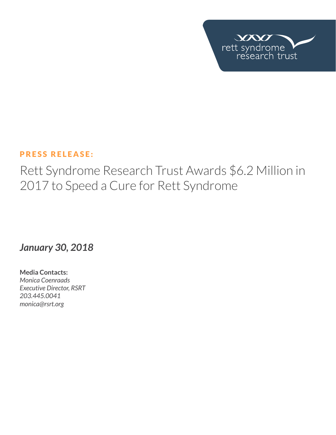

# PRESS RELEASE:

Rett Syndrome Research Trust Awards \$6.2 Million in 2017 to Speed a Cure for Rett Syndrome

*January 30, 2018*

**Media Contacts:**  *Monica Coenraads Executive Director, RSRT 203.445.0041 [monica@rsrt.org](mailto:monica%40rsrt.org?subject=Press%20Release%20%7C%20CSO%20Announce)*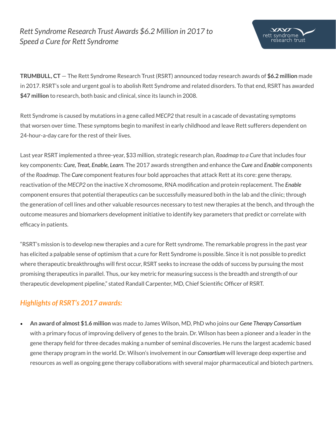# *Rett Syndrome Research Trust Awards \$6.2 Million in 2017 to Speed a Cure for Rett Syndrome*



**TRUMBULL, CT** — The Rett Syndrome Research Trust (RSRT) announced today research awards of **\$6.2 million** made in 2017. RSRT's sole and urgent goal is to abolish Rett Syndrome and related disorders. To that end, RSRT has awarded **\$47 million** to research, both basic and clinical, since its launch in 2008.

Rett Syndrome is caused by mutations in a gene called *MECP2* that result in a cascade of devastating symptoms that worsen over time. These symptoms begin to manifest in early childhood and leave Rett sufferers dependent on 24-hour-a-day care for the rest of their lives.

Last year RSRT implemented a three-year, \$33 million, strategic research plan, *Roadmap to a Cure* that includes four key components: *Cure, Treat, Enable, Learn*. The 2017 awards strengthen and enhance the *Cure* and *Enable* components of the *Roadmap*. The *Cure* component features four bold approaches that attack Rett at its core: gene therapy, reactivation of the *MECP2* on the inactive X chromosome, RNA modification and protein replacement. The *Enable* component ensures that potential therapeutics can be successfully measured both in the lab and the clinic; through the generation of cell lines and other valuable resources necessary to test new therapies at the bench, and through the outcome measures and biomarkers development initiative to identify key parameters that predict or correlate with efficacy in patients.

"RSRT's mission is to develop new therapies and a cure for Rett syndrome. The remarkable progress in the past year has elicited a palpable sense of optimism that a cure for Rett Syndrome is possible. Since it is not possible to predict where therapeutic breakthroughs will first occur, RSRT seeks to increase the odds of success by pursuing the most promising therapeutics in parallel. Thus, our key metric for measuring success is the breadth and strength of our therapeutic development pipeline," stated Randall Carpenter, MD, Chief Scientific Officer of RSRT.

### *Highlights of RSRT's 2017 awards:*

• **An award of almost \$1.6 million** was made to James Wilson, MD, PhD who joins our *Gene Therapy Consortium* with a primary focus of improving delivery of genes to the brain. Dr. Wilson has been a pioneer and a leader in the gene therapy field for three decades making a number of seminal discoveries. He runs the largest academic based gene therapy program in the world. Dr. Wilson's involvement in our *Consortium* will leverage deep expertise and resources as well as ongoing gene therapy collaborations with several major pharmaceutical and biotech partners.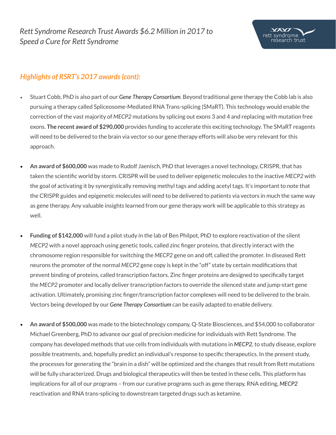

### *Highlights of RSRT's 2017 awards (cont):*

- Stuart Cobb, PhD is also part of our *Gene Therapy Consortium*. Beyond traditional gene therapy the Cobb lab is also pursuing a therapy called Spliceosome-Mediated RNA Trans-splicing (SMaRT). This technology would enable the correction of the vast majority of *MECP2* mutations by splicing out exons 3 and 4 and replacing with mutation free exons. **The recent award of \$290,000** provides funding to accelerate this exciting technology. The SMaRT reagents will need to be delivered to the brain via vector so our gene therapy efforts will also be very relevant for this approach.
- **An award of \$600,000** was made to Rudolf Jaenisch, PhD that leverages a novel technology, CRISPR, that has taken the scientific world by storm. CRISPR will be used to deliver epigenetic molecules to the inactive *MECP2* with the goal of activating it by synergistically removing methyl tags and adding acetyl tags. It's important to note that the CRISPR guides and epigenetic molecules will need to be delivered to patients via vectors in much the same way as gene therapy. Any valuable insights learned from our gene therapy work will be applicable to this strategy as well.
- **Funding of \$142,000** will fund a pilot study in the lab of Ben Philpot, PhD to explore reactivation of the silent *MECP2* with a novel approach using genetic tools, called zinc finger proteins, that directly interact with the chromosome region responsible for switching the *MECP2* gene on and off, called the promoter. In diseased Rett neurons the promoter of the normal *MECP2* gene copy is kept in the "off" state by certain modifications that prevent binding of proteins, called transcription factors. Zinc finger proteins are designed to specifically target the *MECP2* promoter and locally deliver transcription factors to override the silenced state and jump-start gene activation. Ultimately, promising zinc finger/transcription factor complexes will need to be delivered to the brain. Vectors being developed by our *Gene Therapy Consortium* can be easily adapted to enable delivery.
- **An award of \$500,000** was made to the biotechnology company, Q-State Biosciences, and \$54,000 to collaborator Michael Greenberg, PhD to advance our goal of precision medicine for individuals with Rett Syndrome. The company has developed methods that use cells from individuals with mutations in *MECP2*, to study disease, explore possible treatments, and, hopefully predict an individual's response to specific therapeutics. In the present study, the processes for generating the "brain in a dish" will be optimized and the changes that result from Rett mutations will be fully characterized. Drugs and biological therapeutics will then be tested in these cells. This platform has implications for all of our programs – from our curative programs such as gene therapy, RNA editing, *MECP2* reactivation and RNA trans-splicing to downstream targeted drugs such as ketamine.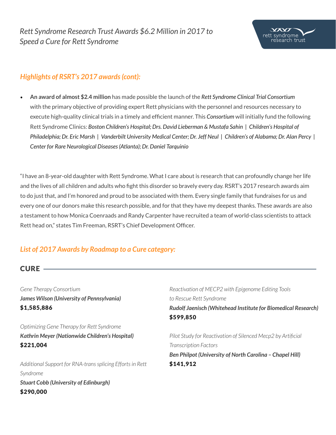

### *Highlights of RSRT's 2017 awards (cont):*

• **An award of almost \$2.4 million** has made possible the launch of the *Rett Syndrome Clinical Trial Consortium* with the primary objective of providing expert Rett physicians with the personnel and resources necessary to execute high-quality clinical trials in a timely and efficient manner. This *Consortium* will initially fund the following Rett Syndrome Clinics: *Boston Children's Hospital; Drs. David Lieberman & Mustafa Sahin | Children's Hospital of Philadelphia; Dr. Eric Marsh | Vanderbilt University Medical Center; Dr. Jeff Neul | Children's of Alabama; Dr. Alan Percy | Center for Rare Neurological Diseases (Atlanta); Dr. Daniel Tarquinio*

"I have an 8-year-old daughter with Rett Syndrome. What I care about is research that can profoundly change her life and the lives of all children and adults who fight this disorder so bravely every day. RSRT's 2017 research awards aim to do just that, and I'm honored and proud to be associated with them. Every single family that fundraises for us and every one of our donors make this research possible, and for that they have my deepest thanks. These awards are also a testament to how Monica Coenraads and Randy Carpenter have recruited a team of world-class scientists to attack Rett head on," states Tim Freeman, RSRT's Chief Development Officer.

## *List of 2017 Awards by Roadmap to a Cure category:*

### **CURE** -

*Gene Therapy Consortium James Wilson (University of Pennsylvania)* \$1,585,886

*Optimizing Gene Therapy for Rett Syndrome Kathrin Meyer (Nationwide Children's Hospital)* \$221,004

*Additional Support for RNA-trans splicing Efforts in Rett Syndrome Stuart Cobb (University of Edinburgh)* \$290,000

*Reactivation of MECP2 with Epigenome Editing Tools to Rescue Rett Syndrome Rudolf Jaenisch (Whitehead Institute for Biomedical Research)* \$599,850

*Pilot Study for Reactivation of Silenced Mecp2 by Artificial Transcription Factors Ben Philpot (University of North Carolina – Chapel Hill)* \$141,912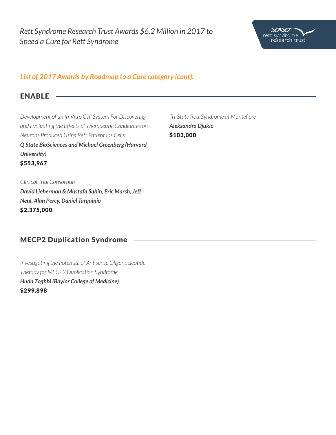

### *List of 2017 Awards by Roadmap to a Cure category (cont):*

#### ENABLE

*Development of an In-Vitro Cell System For Discovering and Evaluating the Effects of Therapeutic Candidates on Neurons Produced Using Rett Patient Ips Cells Q State BioSciences and Michael Greenberg (Harvard University)* \$553,967

*Tri-State Rett Syndrome at Montefiore Aleksandra Djukic* \$103,000

*Clinical Trial Consortium David Lieberman & Mustafa Sahin, Eric Marsh, Jeff Neul, Alan Percy, Daniel Tarquinio* \$2,375,000

### MECP2 Duplication Syndrome

*Investigating the Potential of Antisense Oligonucleotide Therapy for MECP2 Duplication Syndrome Huda Zoghbi (Baylor College of Medicine)* \$299,898